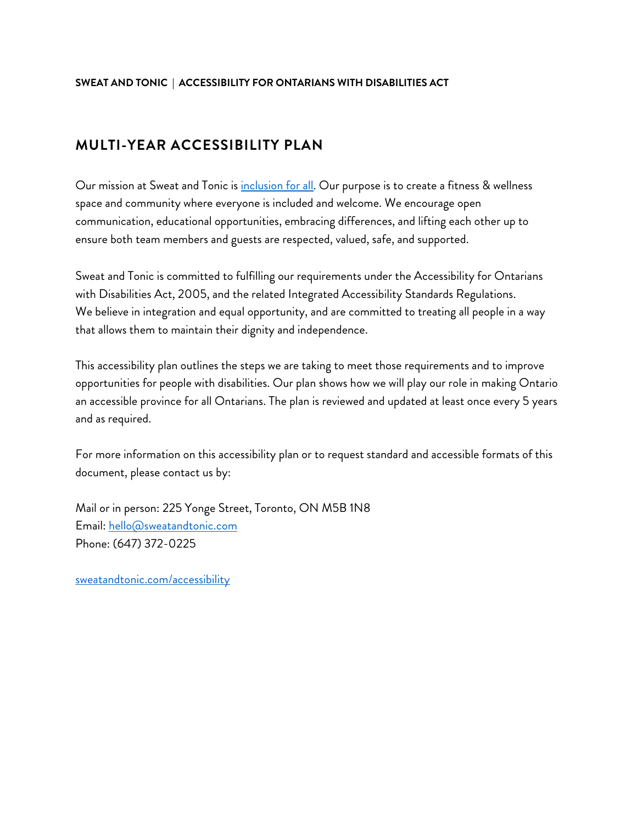## **SWEAT AND TONIC | ACCESSIBILITY FOR ONTARIANS WITH DISABILITIES ACT**

## **MULTI-YEAR ACCESSIBILITY PLAN**

Our mission at Sweat and Tonic is inclusion for all. Our purpose is to create a fitness & wellness space and community where everyone is included and welcome. We encourage open communication, educational opportunities, embracing differences, and lifting each other up to ensure both team members and guests are respected, valued, safe, and supported.

Sweat and Tonic is committed to fulfilling our requirements under the Accessibility for Ontarians with Disabilities Act, 2005, and the related Integrated Accessibility Standards Regulations. We believe in integration and equal opportunity, and are committed to treating all people in a way that allows them to maintain their dignity and independence.

This accessibility plan outlines the steps we are taking to meet those requirements and to improve opportunities for people with disabilities. Our plan shows how we will play our role in making Ontario an accessible province for all Ontarians. The plan is reviewed and updated at least once every 5 years and as required.

For more information on this accessibility plan or to request standard and accessible formats of this document, please contact us by:

Mail or in person: 225 Yonge Street, Toronto, ON M5B 1N8 Email: hello@sweatandtonic.com Phone: (647) 372-0225

sweatandtonic.com/accessibility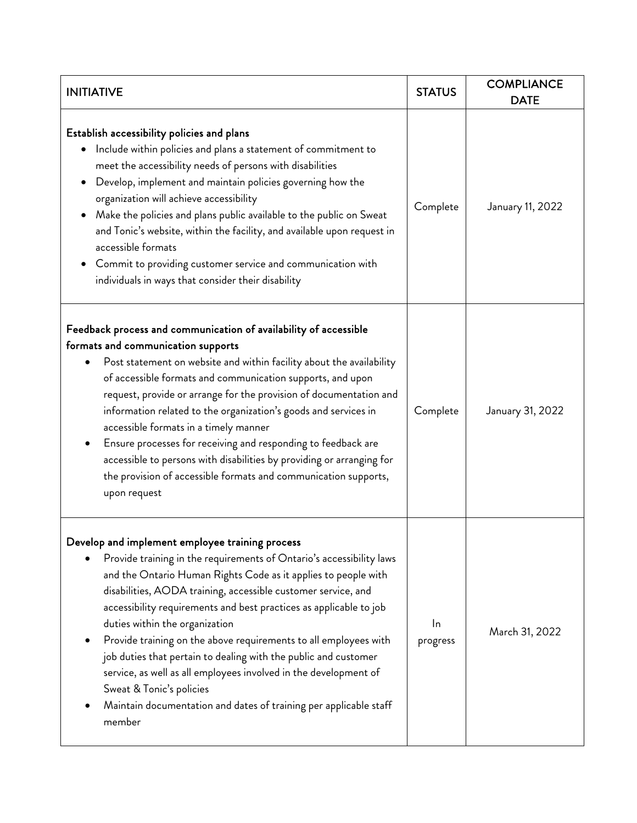| <b>INITIATIVE</b>                                                                                                                                                                                                                                                                                                                                                                                                                                                                                                                                                                                                                                                                        | <b>STATUS</b>  | <b>COMPLIANCE</b><br><b>DATE</b> |
|------------------------------------------------------------------------------------------------------------------------------------------------------------------------------------------------------------------------------------------------------------------------------------------------------------------------------------------------------------------------------------------------------------------------------------------------------------------------------------------------------------------------------------------------------------------------------------------------------------------------------------------------------------------------------------------|----------------|----------------------------------|
| Establish accessibility policies and plans<br>Include within policies and plans a statement of commitment to<br>meet the accessibility needs of persons with disabilities<br>Develop, implement and maintain policies governing how the<br>organization will achieve accessibility<br>Make the policies and plans public available to the public on Sweat<br>and Tonic's website, within the facility, and available upon request in<br>accessible formats<br>Commit to providing customer service and communication with<br>individuals in ways that consider their disability                                                                                                          | Complete       | January 11, 2022                 |
| Feedback process and communication of availability of accessible<br>formats and communication supports<br>Post statement on website and within facility about the availability<br>of accessible formats and communication supports, and upon<br>request, provide or arrange for the provision of documentation and<br>information related to the organization's goods and services in<br>accessible formats in a timely manner<br>Ensure processes for receiving and responding to feedback are<br>accessible to persons with disabilities by providing or arranging for<br>the provision of accessible formats and communication supports,<br>upon request                              | Complete       | January 31, 2022                 |
| Develop and implement employee training process<br>Provide training in the requirements of Ontario's accessibility laws<br>and the Ontario Human Rights Code as it applies to people with<br>disabilities, AODA training, accessible customer service, and<br>accessibility requirements and best practices as applicable to job<br>duties within the organization<br>Provide training on the above requirements to all employees with<br>job duties that pertain to dealing with the public and customer<br>service, as well as all employees involved in the development of<br>Sweat & Tonic's policies<br>Maintain documentation and dates of training per applicable staff<br>member | In<br>progress | March 31, 2022                   |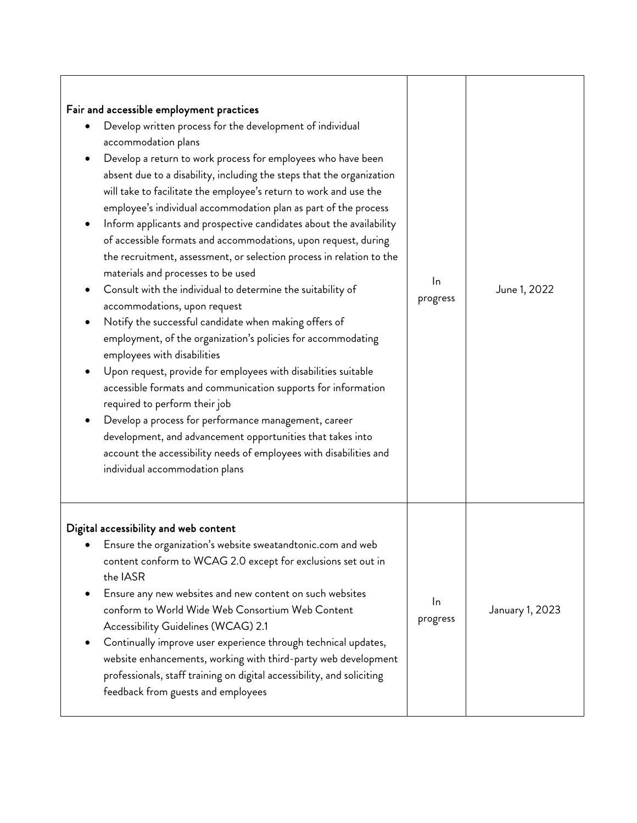| Fair and accessible employment practices<br>Develop written process for the development of individual<br>accommodation plans<br>Develop a return to work process for employees who have been<br>absent due to a disability, including the steps that the organization<br>will take to facilitate the employee's return to work and use the<br>employee's individual accommodation plan as part of the process<br>Inform applicants and prospective candidates about the availability<br>of accessible formats and accommodations, upon request, during<br>the recruitment, assessment, or selection process in relation to the<br>materials and processes to be used<br>Consult with the individual to determine the suitability of<br>accommodations, upon request<br>Notify the successful candidate when making offers of<br>employment, of the organization's policies for accommodating<br>employees with disabilities<br>Upon request, provide for employees with disabilities suitable<br>accessible formats and communication supports for information<br>required to perform their job<br>Develop a process for performance management, career<br>development, and advancement opportunities that takes into<br>account the accessibility needs of employees with disabilities and<br>individual accommodation plans | In<br>progress | June 1, 2022    |
|-------------------------------------------------------------------------------------------------------------------------------------------------------------------------------------------------------------------------------------------------------------------------------------------------------------------------------------------------------------------------------------------------------------------------------------------------------------------------------------------------------------------------------------------------------------------------------------------------------------------------------------------------------------------------------------------------------------------------------------------------------------------------------------------------------------------------------------------------------------------------------------------------------------------------------------------------------------------------------------------------------------------------------------------------------------------------------------------------------------------------------------------------------------------------------------------------------------------------------------------------------------------------------------------------------------------------------|----------------|-----------------|
| Digital accessibility and web content<br>Ensure the organization's website sweatandtonic.com and web<br>content conform to WCAG 2.0 except for exclusions set out in<br>the IASR<br>Ensure any new websites and new content on such websites<br>conform to World Wide Web Consortium Web Content<br>Accessibility Guidelines (WCAG) 2.1<br>Continually improve user experience through technical updates,<br>website enhancements, working with third-party web development<br>professionals, staff training on digital accessibility, and soliciting<br>feedback from guests and employees                                                                                                                                                                                                                                                                                                                                                                                                                                                                                                                                                                                                                                                                                                                                   | In<br>progress | January 1, 2023 |